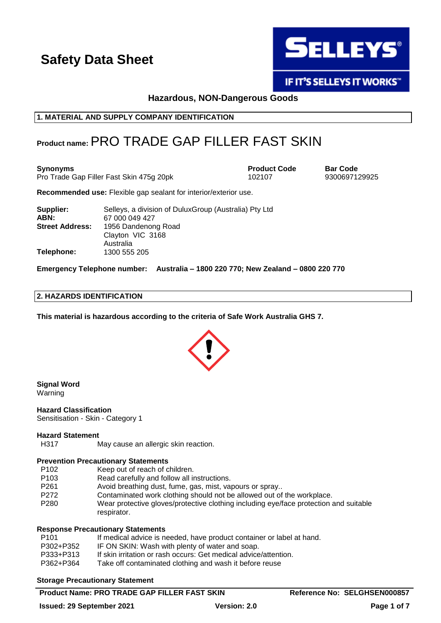

**IF IT'S SELLEYS IT WORKS"** 

## **Hazardous, NON-Dangerous Goods**

## **1. MATERIAL AND SUPPLY COMPANY IDENTIFICATION**

## **Product name:**PRO TRADE GAP FILLER FAST SKIN

**Synonyms Product Code Bar Code** Pro Trade Gap Filler Fast Skin 475g 20pk 102107

**Recommended use:** Flexible gap sealant for interior/exterior use.

| Selleys, a division of Dulux Group (Australia) Pty Ltd |  |
|--------------------------------------------------------|--|
| 67 000 049 427                                         |  |
| 1956 Dandenong Road                                    |  |
| Clayton VIC 3168                                       |  |
| Australia                                              |  |
| 1300 555 205                                           |  |
|                                                        |  |

**Emergency Telephone number: Australia – 1800 220 770; New Zealand – 0800 220 770**

## **2. HAZARDS IDENTIFICATION**

**This material is hazardous according to the criteria of Safe Work Australia GHS 7.**



**Signal Word** Warning

**Hazard Classification** Sensitisation - Skin - Category 1

#### **Hazard Statement**

H317 May cause an allergic skin reaction.

#### **Prevention Precautionary Statements**

- P102 Keep out of reach of children.
- P103 Read carefully and follow all instructions.
- P261 Avoid breathing dust, fume, gas, mist, vapours or spray...<br>P272 Contaminated work clothing should not be allowed out of
- Contaminated work clothing should not be allowed out of the workplace.
- P280 Wear protective gloves/protective clothing including eye/face protection and suitable respirator.

#### **Response Precautionary Statements**

| P101      | If medical advice is needed, have product container or label at hand. |
|-----------|-----------------------------------------------------------------------|
| P302+P352 | IF ON SKIN: Wash with plenty of water and soap.                       |
| P333+P313 | If skin irritation or rash occurs: Get medical advice/attention.      |
|           |                                                                       |
| P362+P364 | Take off contaminated clothing and wash it before reuse               |

#### **Storage Precautionary Statement**

## **Product Name: PRO TRADE GAP FILLER FAST SKIN Reference No: SELGHSEN000857**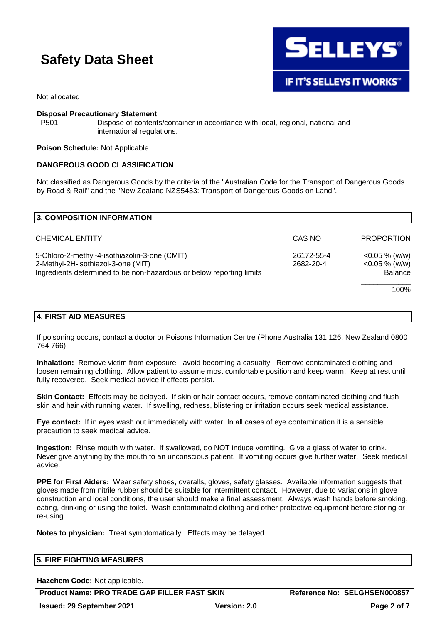

Not allocated

#### **Disposal Precautionary Statement**

P501 Dispose of contents/container in accordance with local, regional, national and international regulations.

#### **Poison Schedule:** Not Applicable

## **DANGEROUS GOOD CLASSIFICATION**

Not classified as Dangerous Goods by the criteria of the "Australian Code for the Transport of Dangerous Goods by Road & Rail" and the "New Zealand NZS5433: Transport of Dangerous Goods on Land".

| <b>3. COMPOSITION INFORMATION</b>                                                                                                                           |                         |                                                        |
|-------------------------------------------------------------------------------------------------------------------------------------------------------------|-------------------------|--------------------------------------------------------|
| <b>CHEMICAL ENTITY</b>                                                                                                                                      | CAS NO                  | <b>PROPORTION</b>                                      |
| 5-Chloro-2-methyl-4-isothiazolin-3-one (CMIT)<br>2-Methyl-2H-isothiazol-3-one (MIT)<br>Ingredients determined to be non-hazardous or below reporting limits | 26172-55-4<br>2682-20-4 | $<$ 0.05 % (w/w)<br>$<$ 0.05 % (w/w)<br><b>Balance</b> |
|                                                                                                                                                             |                         | 100%                                                   |

#### **4. FIRST AID MEASURES**

If poisoning occurs, contact a doctor or Poisons Information Centre (Phone Australia 131 126, New Zealand 0800 764 766).

**Inhalation:** Remove victim from exposure - avoid becoming a casualty. Remove contaminated clothing and loosen remaining clothing. Allow patient to assume most comfortable position and keep warm. Keep at rest until fully recovered. Seek medical advice if effects persist.

**Skin Contact:** Effects may be delayed. If skin or hair contact occurs, remove contaminated clothing and flush skin and hair with running water. If swelling, redness, blistering or irritation occurs seek medical assistance.

**Eye contact:** If in eyes wash out immediately with water. In all cases of eye contamination it is a sensible precaution to seek medical advice.

**Ingestion:** Rinse mouth with water. If swallowed, do NOT induce vomiting. Give a glass of water to drink. Never give anything by the mouth to an unconscious patient. If vomiting occurs give further water. Seek medical advice.

**PPE for First Aiders:** Wear safety shoes, overalls, gloves, safety glasses. Available information suggests that gloves made from nitrile rubber should be suitable for intermittent contact. However, due to variations in glove construction and local conditions, the user should make a final assessment. Always wash hands before smoking, eating, drinking or using the toilet. Wash contaminated clothing and other protective equipment before storing or re-using.

**Notes to physician:** Treat symptomatically. Effects may be delayed.

| <b>5. FIRE FIGHTING MEASURES</b> |  |
|----------------------------------|--|
|                                  |  |

**Hazchem Code:** Not applicable.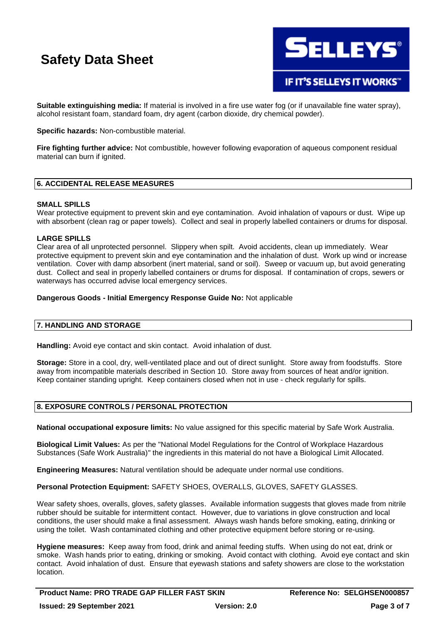

**Suitable extinguishing media:** If material is involved in a fire use water fog (or if unavailable fine water spray), alcohol resistant foam, standard foam, dry agent (carbon dioxide, dry chemical powder).

**Specific hazards:** Non-combustible material.

**Fire fighting further advice:** Not combustible, however following evaporation of aqueous component residual material can burn if ignited.

## **6. ACCIDENTAL RELEASE MEASURES**

#### **SMALL SPILLS**

Wear protective equipment to prevent skin and eye contamination. Avoid inhalation of vapours or dust. Wipe up with absorbent (clean rag or paper towels). Collect and seal in properly labelled containers or drums for disposal.

## **LARGE SPILLS**

Clear area of all unprotected personnel. Slippery when spilt. Avoid accidents, clean up immediately. Wear protective equipment to prevent skin and eye contamination and the inhalation of dust. Work up wind or increase ventilation. Cover with damp absorbent (inert material, sand or soil). Sweep or vacuum up, but avoid generating dust. Collect and seal in properly labelled containers or drums for disposal. If contamination of crops, sewers or waterways has occurred advise local emergency services.

## **Dangerous Goods - Initial Emergency Response Guide No:** Not applicable

## **7. HANDLING AND STORAGE**

**Handling:** Avoid eye contact and skin contact. Avoid inhalation of dust.

**Storage:** Store in a cool, dry, well-ventilated place and out of direct sunlight. Store away from foodstuffs. Store away from incompatible materials described in Section 10. Store away from sources of heat and/or ignition. Keep container standing upright. Keep containers closed when not in use - check regularly for spills.

## **8. EXPOSURE CONTROLS / PERSONAL PROTECTION**

**National occupational exposure limits:** No value assigned for this specific material by Safe Work Australia.

**Biological Limit Values:** As per the "National Model Regulations for the Control of Workplace Hazardous Substances (Safe Work Australia)" the ingredients in this material do not have a Biological Limit Allocated.

**Engineering Measures:** Natural ventilation should be adequate under normal use conditions.

**Personal Protection Equipment:** SAFETY SHOES, OVERALLS, GLOVES, SAFETY GLASSES.

Wear safety shoes, overalls, gloves, safety glasses. Available information suggests that gloves made from nitrile rubber should be suitable for intermittent contact. However, due to variations in glove construction and local conditions, the user should make a final assessment. Always wash hands before smoking, eating, drinking or using the toilet. Wash contaminated clothing and other protective equipment before storing or re-using.

**Hygiene measures:** Keep away from food, drink and animal feeding stuffs. When using do not eat, drink or smoke. Wash hands prior to eating, drinking or smoking. Avoid contact with clothing. Avoid eye contact and skin contact. Avoid inhalation of dust. Ensure that eyewash stations and safety showers are close to the workstation location.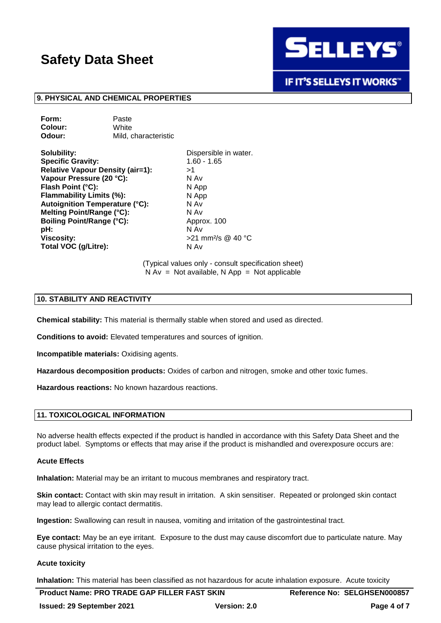

**IF IT'S SELLEYS IT WORKS"** 

#### **9. PHYSICAL AND CHEMICAL PROPERTIES**

**Form:** Paste **Colour:** White **Odour:** Mild, characteristic

**Solubility:** Dispersible in water. **Specific Gravity:** 1.60 - 1.65 **Relative Vapour Density (air=1):** >1 **Vapour Pressure (20 °C):** N Av **Flash Point (°C):** N App **Flammability Limits (%):** N App **Autoignition Temperature (°C):** N Av **Melting Point/Range (°C):** N Av **Boiling Point/Range (°C):** Approx. 100 **pH:** N Av **Viscosity:**  $>21$  mm<sup>2</sup>/s @ 40 °C **Total VOC (g/Litre):** N Av

(Typical values only - consult specification sheet)  $N Av = Not available, N App = Not applicable$ 

## **10. STABILITY AND REACTIVITY**

**Chemical stability:** This material is thermally stable when stored and used as directed.

**Conditions to avoid:** Elevated temperatures and sources of ignition.

**Incompatible materials:** Oxidising agents.

**Hazardous decomposition products:** Oxides of carbon and nitrogen, smoke and other toxic fumes.

**Hazardous reactions:** No known hazardous reactions.

#### **11. TOXICOLOGICAL INFORMATION**

No adverse health effects expected if the product is handled in accordance with this Safety Data Sheet and the product label. Symptoms or effects that may arise if the product is mishandled and overexposure occurs are:

#### **Acute Effects**

**Inhalation:** Material may be an irritant to mucous membranes and respiratory tract.

**Skin contact:** Contact with skin may result in irritation. A skin sensitiser. Repeated or prolonged skin contact may lead to allergic contact dermatitis.

**Ingestion:** Swallowing can result in nausea, vomiting and irritation of the gastrointestinal tract.

**Eye contact:** May be an eye irritant. Exposure to the dust may cause discomfort due to particulate nature. May cause physical irritation to the eyes.

#### **Acute toxicity**

**Inhalation:** This material has been classified as not hazardous for acute inhalation exposure. Acute toxicity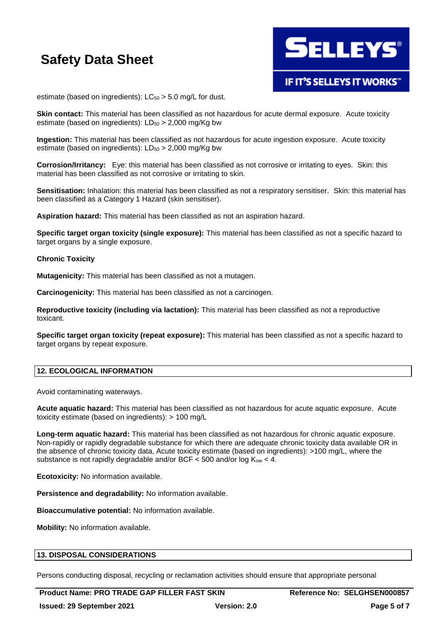

estimate (based on ingredients):  $LC_{50} > 5.0$  mg/L for dust.

**Skin contact:** This material has been classified as not hazardous for acute dermal exposure. Acute toxicity estimate (based on ingredients):  $LD_{50} > 2,000$  mg/Kg bw

**Ingestion:** This material has been classified as not hazardous for acute ingestion exposure. Acute toxicity estimate (based on ingredients):  $LD_{50} > 2,000$  mg/Kg bw

**Corrosion/Irritancy:** Eye: this material has been classified as not corrosive or irritating to eyes. Skin: this material has been classified as not corrosive or irritating to skin.

**Sensitisation:** Inhalation: this material has been classified as not a respiratory sensitiser. Skin: this material has been classified as a Category 1 Hazard (skin sensitiser).

**Aspiration hazard:** This material has been classified as not an aspiration hazard.

**Specific target organ toxicity (single exposure):** This material has been classified as not a specific hazard to target organs by a single exposure.

#### **Chronic Toxicity**

**Mutagenicity:** This material has been classified as not a mutagen.

**Carcinogenicity:** This material has been classified as not a carcinogen.

**Reproductive toxicity (including via lactation):** This material has been classified as not a reproductive toxicant.

**Specific target organ toxicity (repeat exposure):** This material has been classified as not a specific hazard to target organs by repeat exposure.

## **12. ECOLOGICAL INFORMATION**

Avoid contaminating waterways.

**Acute aquatic hazard:** This material has been classified as not hazardous for acute aquatic exposure. Acute toxicity estimate (based on ingredients): > 100 mg/L

**Long-term aquatic hazard:** This material has been classified as not hazardous for chronic aquatic exposure. Non-rapidly or rapidly degradable substance for which there are adequate chronic toxicity data available OR in the absence of chronic toxicity data, Acute toxicity estimate (based on ingredients): >100 mg/L, where the substance is not rapidly degradable and/or BCF  $\lt$  500 and/or log K<sub>ow</sub>  $\lt$  4.

**Ecotoxicity:** No information available.

**Persistence and degradability:** No information available.

**Bioaccumulative potential:** No information available.

**Mobility:** No information available.

## **13. DISPOSAL CONSIDERATIONS**

Persons conducting disposal, recycling or reclamation activities should ensure that appropriate personal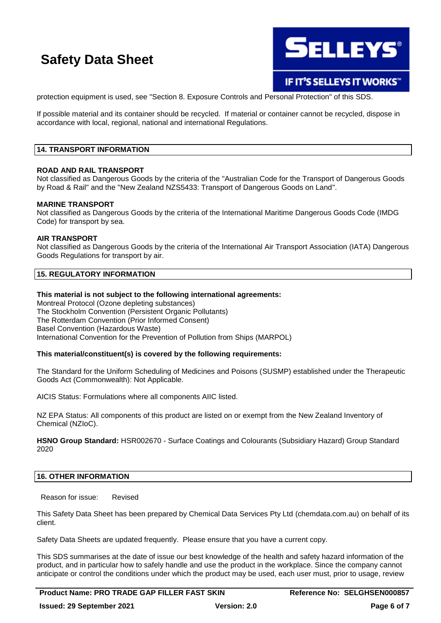

IF IT'S SELLEYS IT WORKS"

protection equipment is used, see "Section 8. Exposure Controls and Personal Protection" of this SDS.

If possible material and its container should be recycled. If material or container cannot be recycled, dispose in accordance with local, regional, national and international Regulations.

## **14. TRANSPORT INFORMATION**

#### **ROAD AND RAIL TRANSPORT**

Not classified as Dangerous Goods by the criteria of the "Australian Code for the Transport of Dangerous Goods by Road & Rail" and the "New Zealand NZS5433: Transport of Dangerous Goods on Land".

#### **MARINE TRANSPORT**

Not classified as Dangerous Goods by the criteria of the International Maritime Dangerous Goods Code (IMDG Code) for transport by sea.

#### **AIR TRANSPORT**

Not classified as Dangerous Goods by the criteria of the International Air Transport Association (IATA) Dangerous Goods Regulations for transport by air.

## **15. REGULATORY INFORMATION**

#### **This material is not subject to the following international agreements:**

Montreal Protocol (Ozone depleting substances) The Stockholm Convention (Persistent Organic Pollutants) The Rotterdam Convention (Prior Informed Consent) Basel Convention (Hazardous Waste) International Convention for the Prevention of Pollution from Ships (MARPOL)

## **This material/constituent(s) is covered by the following requirements:**

The Standard for the Uniform Scheduling of Medicines and Poisons (SUSMP) established under the Therapeutic Goods Act (Commonwealth): Not Applicable.

AICIS Status: Formulations where all components AIIC listed.

NZ EPA Status: All components of this product are listed on or exempt from the New Zealand Inventory of Chemical (NZIoC).

**HSNO Group Standard:** HSR002670 - Surface Coatings and Colourants (Subsidiary Hazard) Group Standard 2020

#### **16. OTHER INFORMATION**

Reason for issue: Revised

This Safety Data Sheet has been prepared by Chemical Data Services Pty Ltd (chemdata.com.au) on behalf of its client.

Safety Data Sheets are updated frequently. Please ensure that you have a current copy.

This SDS summarises at the date of issue our best knowledge of the health and safety hazard information of the product, and in particular how to safely handle and use the product in the workplace. Since the company cannot anticipate or control the conditions under which the product may be used, each user must, prior to usage, review